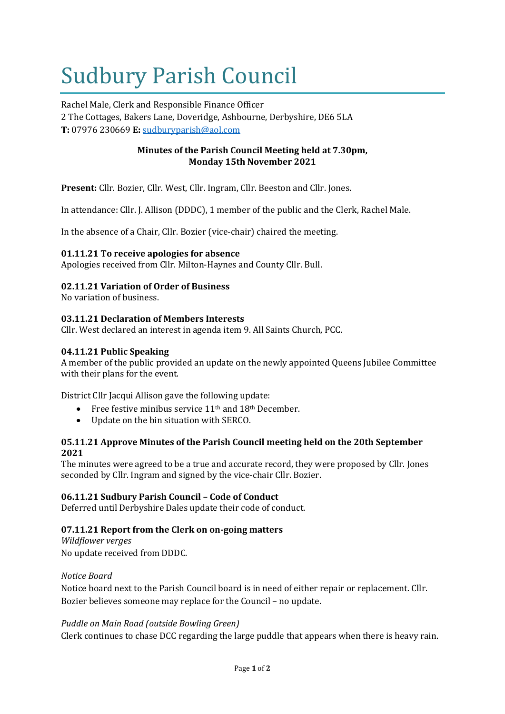# Sudbury Parish Council

Rachel Male, Clerk and Responsible Finance Officer 2 The Cottages, Bakers Lane, Doveridge, Ashbourne, Derbyshire, DE6 5LA **T:** 07976 230669 **E:** [sudburyparish@aol.com](mailto:sudburyparish@aol.com)

## **Minutes of the Parish Council Meeting held at 7.30pm, Monday 15th November 2021**

**Present:** Cllr. Bozier, Cllr. West, Cllr. Ingram, Cllr. Beeston and Cllr. Jones.

In attendance: Cllr. J. Allison (DDDC), 1 member of the public and the Clerk, Rachel Male.

In the absence of a Chair, Cllr. Bozier (vice-chair) chaired the meeting.

## **01.11.21 To receive apologies for absence**

Apologies received from Cllr. Milton-Haynes and County Cllr. Bull.

## **02.11.21 Variation of Order of Business**

No variation of business.

#### **03.11.21 Declaration of Members Interests**

Cllr. West declared an interest in agenda item 9. All Saints Church, PCC.

#### **04.11.21 Public Speaking**

A member of the public provided an update on the newly appointed Queens Jubilee Committee with their plans for the event.

District Cllr Jacqui Allison gave the following update:

- Free festive minibus service 11th and 18th December.
- Update on the bin situation with SERCO.

## **05.11.21 Approve Minutes of the Parish Council meeting held on the 20th September 2021**

The minutes were agreed to be a true and accurate record, they were proposed by Cllr. Jones seconded by Cllr. Ingram and signed by the vice-chair Cllr. Bozier.

#### **06.11.21 Sudbury Parish Council – Code of Conduct**

Deferred until Derbyshire Dales update their code of conduct.

## **07.11.21 Report from the Clerk on on-going matters**

*Wildflower verges* No update received from DDDC.

#### *Notice Board*

Notice board next to the Parish Council board is in need of either repair or replacement. Cllr. Bozier believes someone may replace for the Council – no update.

#### *Puddle on Main Road (outside Bowling Green)*

Clerk continues to chase DCC regarding the large puddle that appears when there is heavy rain.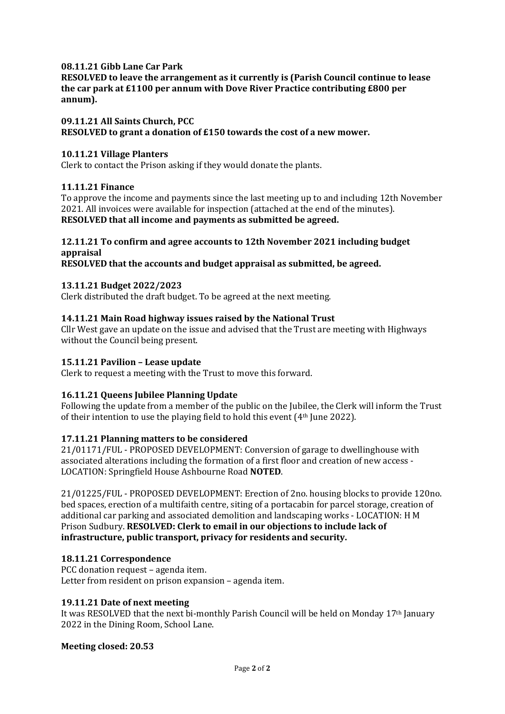## **08.11.21 Gibb Lane Car Park**

**RESOLVED to leave the arrangement as it currently is (Parish Council continue to lease the car park at £1100 per annum with Dove River Practice contributing £800 per annum).**

#### **09.11.21 All Saints Church, PCC**

**RESOLVED to grant a donation of £150 towards the cost of a new mower.**

#### **10.11.21 Village Planters**

Clerk to contact the Prison asking if they would donate the plants.

#### **11.11.21 Finance**

To approve the income and payments since the last meeting up to and including 12th November 2021. All invoices were available for inspection (attached at the end of the minutes). **RESOLVED that all income and payments as submitted be agreed.**

## **12.11.21 To confirm and agree accounts to 12th November 2021 including budget appraisal**

**RESOLVED that the accounts and budget appraisal as submitted, be agreed.**

#### **13.11.21 Budget 2022/2023**

Clerk distributed the draft budget. To be agreed at the next meeting.

#### **14.11.21 Main Road highway issues raised by the National Trust**

Cllr West gave an update on the issue and advised that the Trust are meeting with Highways without the Council being present.

#### **15.11.21 Pavilion – Lease update**

Clerk to request a meeting with the Trust to move this forward.

## **16.11.21 Queens Jubilee Planning Update**

Following the update from a member of the public on the Jubilee, the Clerk will inform the Trust of their intention to use the playing field to hold this event (4th June 2022).

## **17.11.21 Planning matters to be considered**

21/01171/FUL - PROPOSED DEVELOPMENT: Conversion of garage to dwellinghouse with associated alterations including the formation of a first floor and creation of new access - LOCATION: Springfield House Ashbourne Road **NOTED**.

21/01225/FUL - PROPOSED DEVELOPMENT: Erection of 2no. housing blocks to provide 120no. bed spaces, erection of a multifaith centre, siting of a portacabin for parcel storage, creation of additional car parking and associated demolition and landscaping works - LOCATION: H M Prison Sudbury. **RESOLVED: Clerk to email in our objections to include lack of infrastructure, public transport, privacy for residents and security.**

## **18.11.21 Correspondence**

PCC donation request – agenda item. Letter from resident on prison expansion – agenda item.

#### **19.11.21 Date of next meeting**

It was RESOLVED that the next bi-monthly Parish Council will be held on Monday  $17<sup>th</sup>$  January 2022 in the Dining Room, School Lane.

#### **Meeting closed: 20.53**